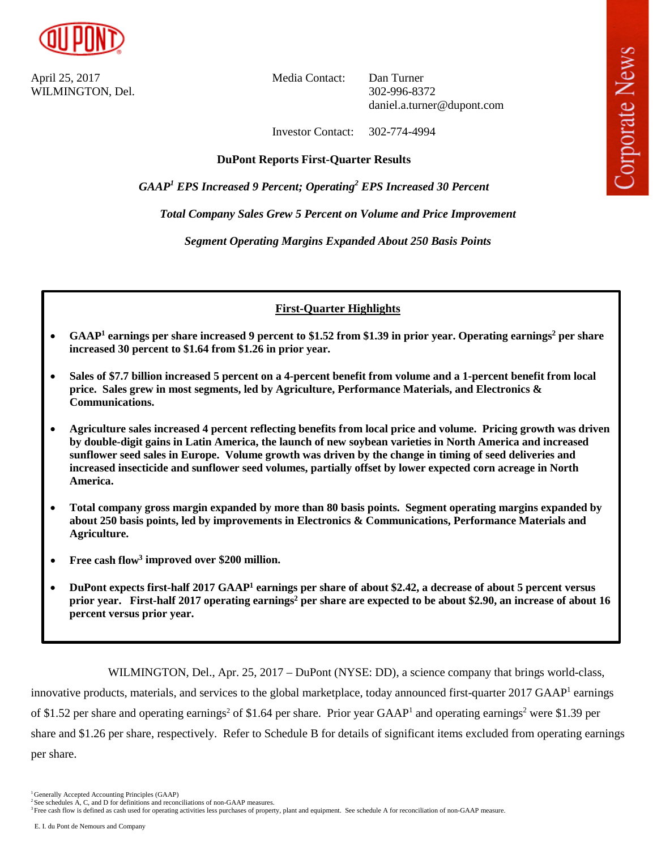

April 25, 2017 Media Contact: Dan Turner WILMINGTON, Del. 302-996-8372

daniel.a.turner@dupont.com

Investor Contact: 302-774-4994

# **DuPont Reports First-Quarter Results**

*GAAP1 EPS Increased 9 Percent; Operating2 EPS Increased 30 Percent*

*Total Company Sales Grew 5 Percent on Volume and Price Improvement*

*Segment Operating Margins Expanded About 250 Basis Points*

# **First-Quarter Highlights**

- **GAAP1 earnings per share increased 9 percent to \$1.52 from \$1.39 in prior year. Operating earnings2 per share increased 30 percent to \$1.64 from \$1.26 in prior year.**
- **Sales of \$7.7 billion increased 5 percent on a 4-percent benefit from volume and a 1-percent benefit from local price. Sales grew in most segments, led by Agriculture, Performance Materials, and Electronics & Communications.**
- **Agriculture sales increased 4 percent reflecting benefits from local price and volume. Pricing growth was driven by double-digit gains in Latin America, the launch of new soybean varieties in North America and increased sunflower seed sales in Europe. Volume growth was driven by the change in timing of seed deliveries and increased insecticide and sunflower seed volumes, partially offset by lower expected corn acreage in North America.**
- **Total company gross margin expanded by more than 80 basis points. Segment operating margins expanded by about 250 basis points, led by improvements in Electronics & Communications, Performance Materials and Agriculture.**
- **Free cash flow3 improved over \$200 million.**
- **DuPont expects first-half 2017 GAAP1 earnings per share of about \$2.42, a decrease of about 5 percent versus prior year.** First-half 2017 operating earnings<sup>2</sup> per share are expected to be about \$2.90, an increase of about 16 **percent versus prior year.**

WILMINGTON, Del., Apr. 25, 2017 – DuPont (NYSE: DD), a science company that brings world-class, innovative products, materials, and services to the global marketplace, today announced first-quarter 2017 GAAP<sup>1</sup> earnings of \$1.52 per share and operating earnings<sup>2</sup> of \$1.64 per share. Prior year GAAP<sup>1</sup> and operating earnings<sup>2</sup> were \$1.39 per share and \$1.26 per share, respectively. Refer to Schedule B for details of significant items excluded from operating earnings per share.

<sup>&</sup>lt;sup>1</sup> Generally Accepted Accounting Principles (GAAP)

 $2$  See schedules A, C, and D for definitions and reconciliations of non-GAAP measures.

<sup>&</sup>lt;sup>3</sup> Free cash flow is defined as cash used for operating activities less purchases of property, plant and equipment. See schedule A for reconciliation of non-GAAP measure.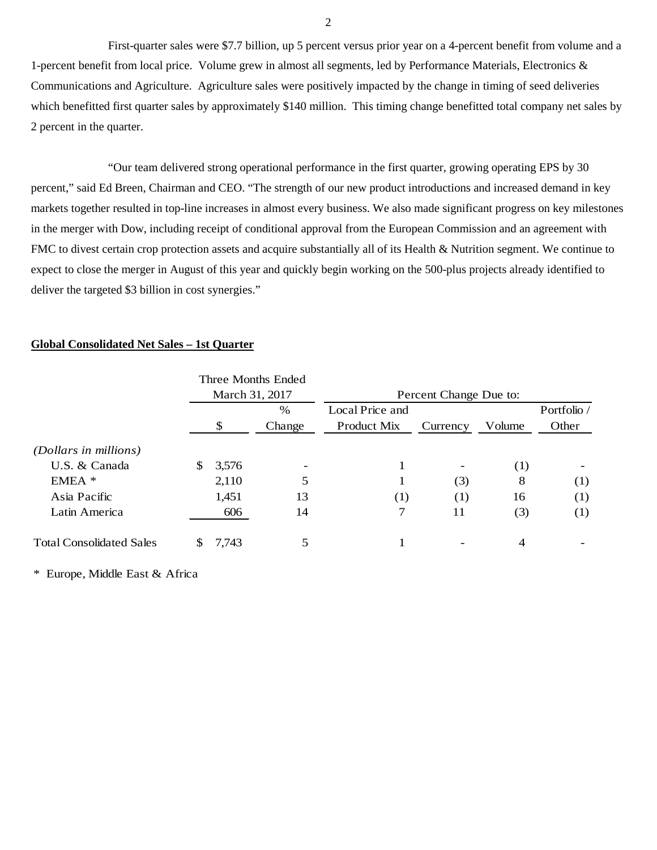First-quarter sales were \$7.7 billion, up 5 percent versus prior year on a 4-percent benefit from volume and a 1-percent benefit from local price. Volume grew in almost all segments, led by Performance Materials, Electronics & Communications and Agriculture. Agriculture sales were positively impacted by the change in timing of seed deliveries which benefitted first quarter sales by approximately \$140 million. This timing change benefitted total company net sales by 2 percent in the quarter.

"Our team delivered strong operational performance in the first quarter, growing operating EPS by 30 percent," said Ed Breen, Chairman and CEO. "The strength of our new product introductions and increased demand in key markets together resulted in top-line increases in almost every business. We also made significant progress on key milestones in the merger with Dow, including receipt of conditional approval from the European Commission and an agreement with FMC to divest certain crop protection assets and acquire substantially all of its Health & Nutrition segment. We continue to expect to close the merger in August of this year and quickly begin working on the 500-plus projects already identified to deliver the targeted \$3 billion in cost synergies."

## **Global Consolidated Net Sales – 1st Quarter**

|                                 |    |                | Three Months Ended |                        |          |        |             |
|---------------------------------|----|----------------|--------------------|------------------------|----------|--------|-------------|
|                                 |    | March 31, 2017 |                    | Percent Change Due to: |          |        |             |
|                                 |    |                | %                  | Local Price and        |          |        | Portfolio / |
|                                 |    | \$             | Change             | Product Mix            | Currency | Volume | Other       |
| (Dollars in millions)           |    |                |                    |                        |          |        |             |
| U.S. & Canada                   | \$ | 3,576          |                    |                        |          | (1)    |             |
| $EMEA$ *                        |    | 2,110          | 5                  |                        | (3)      | 8      | (1)         |
| Asia Pacific                    |    | 1,451          | 13                 | (1)                    | (1)      | 16     | (1)         |
| Latin America                   |    | 606            | 14                 | 7                      | 11       | (3)    | (1)         |
| <b>Total Consolidated Sales</b> | S  | 7,743          | 5                  |                        |          | 4      |             |

\* Europe, Middle East & Africa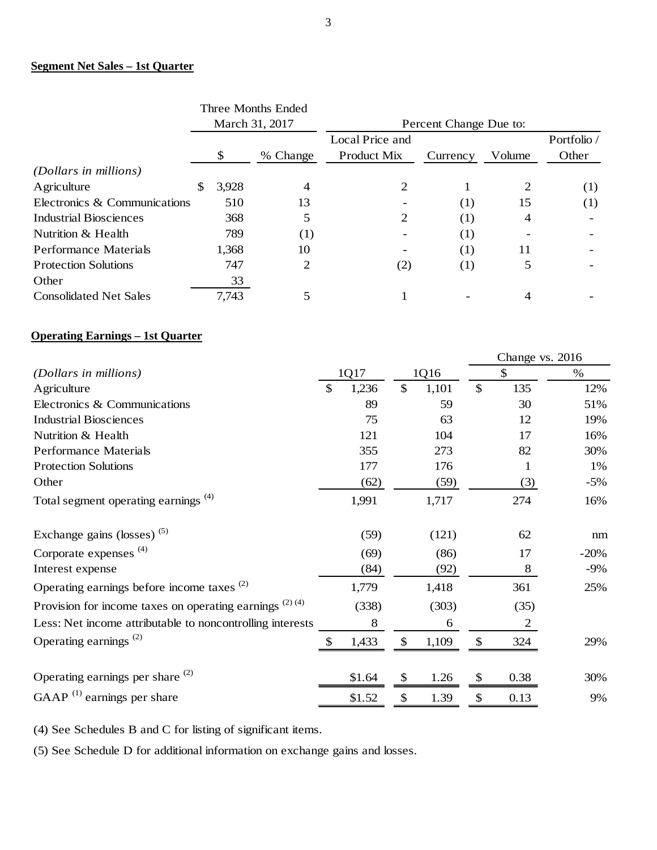# **Segment Net Sales – 1st Quarter**

|             |          | Local Price and                      |          |        | Portfolio /            |
|-------------|----------|--------------------------------------|----------|--------|------------------------|
| \$          | % Change | Product Mix                          | Currency | Volume | Other                  |
|             |          |                                      |          |        |                        |
| \$<br>3,928 | 4        |                                      |          |        | (1)                    |
| 510         | 13       |                                      | (1)      | 15     | (1)                    |
| 368         | 5        | 2                                    | (1)      | 4      |                        |
| 789         | (1)      |                                      | (1)      |        |                        |
| 1,368       | 10       |                                      | (1)      | 11     |                        |
| 747         | 2        | (2)                                  | (1)      | 5      |                        |
| 33          |          |                                      |          |        |                        |
| 7,743       | 5        |                                      |          | 4      |                        |
|             |          | Three Months Ended<br>March 31, 2017 |          |        | Percent Change Due to: |

# **Operating Earnings – 1st Quarter**

|                                                            |             |               |       |              | Change vs. 2016 |        |
|------------------------------------------------------------|-------------|---------------|-------|--------------|-----------------|--------|
| (Dollars in millions)                                      | 1Q17        |               | 1Q16  |              | \$              | $\%$   |
| Agriculture                                                | \$<br>1,236 | $\mathcal{S}$ | 1,101 | $\mathbb{S}$ | 135             | 12%    |
| Electronics & Communications                               | 89          |               | 59    |              | 30              | 51%    |
| <b>Industrial Biosciences</b>                              | 75          |               | 63    |              | 12              | 19%    |
| Nutrition & Health                                         | 121         |               | 104   |              | 17              | 16%    |
| <b>Performance Materials</b>                               | 355         |               | 273   |              | 82              | 30%    |
| <b>Protection Solutions</b>                                | 177         |               | 176   |              | 1               | 1%     |
| Other                                                      | (62)        |               | (59)  |              | (3)             | $-5%$  |
| Total segment operating earnings <sup>(4)</sup>            | 1,991       |               | 1,717 |              | 274             | 16%    |
| Exchange gains (losses) $(5)$                              | (59)        |               | (121) |              | 62              | nm     |
| Corporate expenses <sup>(4)</sup>                          | (69)        |               | (86)  |              | 17              | $-20%$ |
| Interest expense                                           | (84)        |               | (92)  |              | 8               | $-9\%$ |
| Operating earnings before income taxes <sup>(2)</sup>      | 1,779       |               | 1,418 |              | 361             | 25%    |
| Provision for income taxes on operating earnings $(2)$ (4) | (338)       |               | (303) |              | (35)            |        |
| Less: Net income attributable to noncontrolling interests  | 8           |               | 6     |              | 2               |        |
| Operating earnings <sup><math>(2)</math></sup>             | \$<br>1,433 | \$            | 1,109 | \$           | 324             | 29%    |
| Operating earnings per share $(2)$                         | \$1.64      | \$            | 1.26  | \$           | 0.38            | 30%    |
| GAAP $^{(1)}$ earnings per share                           | \$1.52      | \$            | 1.39  | \$           | 0.13            | 9%     |

(4) See Schedules B and C for listing of significant items.

(5) See Schedule D for additional information on exchange gains and losses.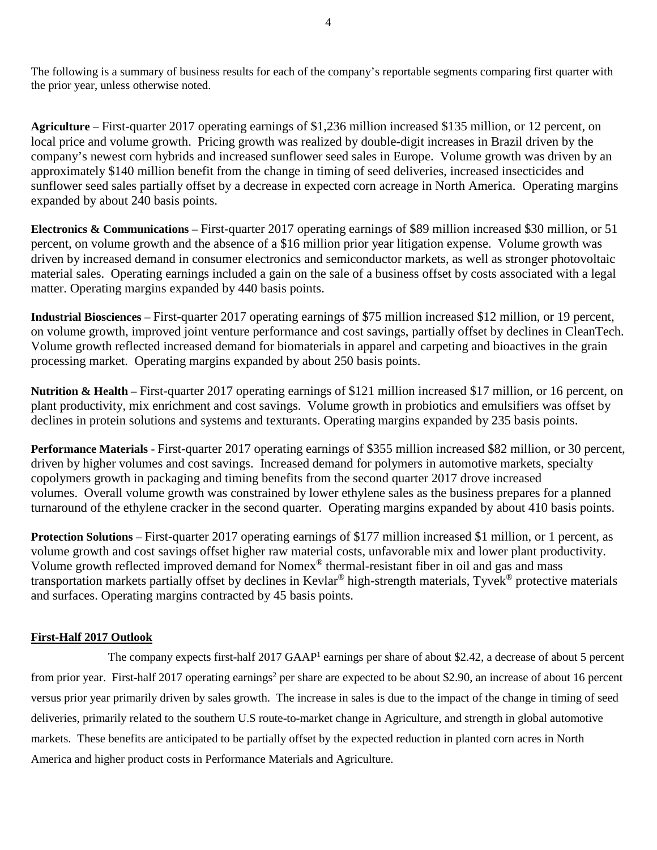The following is a summary of business results for each of the company's reportable segments comparing first quarter with the prior year, unless otherwise noted.

**Agriculture** – First-quarter 2017 operating earnings of \$1,236 million increased \$135 million, or 12 percent, on local price and volume growth. Pricing growth was realized by double-digit increases in Brazil driven by the company's newest corn hybrids and increased sunflower seed sales in Europe. Volume growth was driven by an approximately \$140 million benefit from the change in timing of seed deliveries, increased insecticides and sunflower seed sales partially offset by a decrease in expected corn acreage in North America. Operating margins expanded by about 240 basis points.

**Electronics & Communications** – First-quarter 2017 operating earnings of \$89 million increased \$30 million, or 51 percent, on volume growth and the absence of a \$16 million prior year litigation expense. Volume growth was driven by increased demand in consumer electronics and semiconductor markets, as well as stronger photovoltaic material sales. Operating earnings included a gain on the sale of a business offset by costs associated with a legal matter. Operating margins expanded by 440 basis points.

**Industrial Biosciences** – First-quarter 2017 operating earnings of \$75 million increased \$12 million, or 19 percent, on volume growth, improved joint venture performance and cost savings, partially offset by declines in CleanTech. Volume growth reflected increased demand for biomaterials in apparel and carpeting and bioactives in the grain processing market. Operating margins expanded by about 250 basis points.

**Nutrition & Health** – First-quarter 2017 operating earnings of \$121 million increased \$17 million, or 16 percent, on plant productivity, mix enrichment and cost savings. Volume growth in probiotics and emulsifiers was offset by declines in protein solutions and systems and texturants. Operating margins expanded by 235 basis points.

**Performance Materials** - First-quarter 2017 operating earnings of \$355 million increased \$82 million, or 30 percent, driven by higher volumes and cost savings. Increased demand for polymers in automotive markets, specialty copolymers growth in packaging and timing benefits from the second quarter 2017 drove increased volumes. Overall volume growth was constrained by lower ethylene sales as the business prepares for a planned turnaround of the ethylene cracker in the second quarter. Operating margins expanded by about 410 basis points.

**Protection Solutions** – First-quarter 2017 operating earnings of \$177 million increased \$1 million, or 1 percent, as volume growth and cost savings offset higher raw material costs, unfavorable mix and lower plant productivity. Volume growth reflected improved demand for Nomex® thermal-resistant fiber in oil and gas and mass transportation markets partially offset by declines in Kevlar® high-strength materials, Tyvek® protective materials and surfaces. Operating margins contracted by 45 basis points.

# **First-Half 2017 Outlook**

The company expects first-half 2017 GAAP<sup>1</sup> earnings per share of about \$2.42, a decrease of about 5 percent from prior year. First-half 2017 operating earnings<sup>2</sup> per share are expected to be about \$2.90, an increase of about 16 percent versus prior year primarily driven by sales growth. The increase in sales is due to the impact of the change in timing of seed deliveries, primarily related to the southern U.S route-to-market change in Agriculture, and strength in global automotive markets. These benefits are anticipated to be partially offset by the expected reduction in planted corn acres in North America and higher product costs in Performance Materials and Agriculture.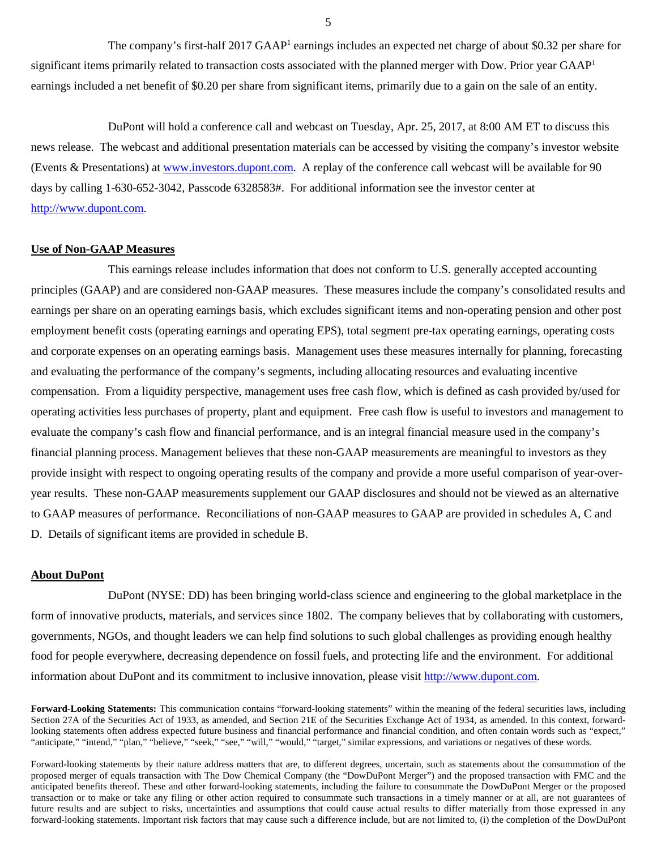The company's first-half 2017 GAAP<sup>1</sup> earnings includes an expected net charge of about \$0.32 per share for significant items primarily related to transaction costs associated with the planned merger with Dow. Prior year GAAP<sup>1</sup> earnings included a net benefit of \$0.20 per share from significant items, primarily due to a gain on the sale of an entity.

DuPont will hold a conference call and webcast on Tuesday, Apr. 25, 2017, at 8:00 AM ET to discuss this news release. The webcast and additional presentation materials can be accessed by visiting the company's investor website [\(Events & Presentations\)](http://www.investors.dupont.com/investor-relations/events-and-presentations/default.aspx) at [www.investors.dupont.com.](http://www.investors.dupont.com/) A replay of the conference call webcast will be available for 90 days by calling 1-630-652-3042, Passcode 6328583#. For additional information see the investor center at [http://www.dupont.com.](http://www.dupont.com/)

### **Use of Non-GAAP Measures**

This earnings release includes information that does not conform to U.S. generally accepted accounting principles (GAAP) and are considered non-GAAP measures. These measures include the company's consolidated results and earnings per share on an operating earnings basis, which excludes significant items and non-operating pension and other post employment benefit costs (operating earnings and operating EPS), total segment pre-tax operating earnings, operating costs and corporate expenses on an operating earnings basis. Management uses these measures internally for planning, forecasting and evaluating the performance of the company's segments, including allocating resources and evaluating incentive compensation. From a liquidity perspective, management uses free cash flow, which is defined as cash provided by/used for operating activities less purchases of property, plant and equipment. Free cash flow is useful to investors and management to evaluate the company's cash flow and financial performance, and is an integral financial measure used in the company's financial planning process. Management believes that these non-GAAP measurements are meaningful to investors as they provide insight with respect to ongoing operating results of the company and provide a more useful comparison of year-overyear results. These non-GAAP measurements supplement our GAAP disclosures and should not be viewed as an alternative to GAAP measures of performance. Reconciliations of non-GAAP measures to GAAP are provided in schedules A, C and D. Details of significant items are provided in schedule B.

### **About DuPont**

DuPont (NYSE: DD) has been bringing world-class science and engineering to the global marketplace in the form of innovative products, materials, and services since 1802. The company believes that by collaborating with customers, governments, NGOs, and thought leaders we can help find solutions to such global challenges as providing enough healthy food for people everywhere, decreasing dependence on fossil fuels, and protecting life and the environment. For additional information about DuPont and its commitment to inclusive innovation, please visit [http://www.dupont.com.](http://www.dupont.com/)

5

**Forward-Looking Statements:** This communication contains "forward-looking statements" within the meaning of the federal securities laws, including Section 27A of the Securities Act of 1933, as amended, and Section 21E of the Securities Exchange Act of 1934, as amended. In this context, forwardlooking statements often address expected future business and financial performance and financial condition, and often contain words such as "expect," "anticipate," "intend," "plan," "believe," "seek," "see," "will," "would," "target," similar expressions, and variations or negatives of these words.

Forward-looking statements by their nature address matters that are, to different degrees, uncertain, such as statements about the consummation of the proposed merger of equals transaction with The Dow Chemical Company (the "DowDuPont Merger") and the proposed transaction with FMC and the anticipated benefits thereof. These and other forward-looking statements, including the failure to consummate the DowDuPont Merger or the proposed transaction or to make or take any filing or other action required to consummate such transactions in a timely manner or at all, are not guarantees of future results and are subject to risks, uncertainties and assumptions that could cause actual results to differ materially from those expressed in any forward-looking statements. Important risk factors that may cause such a difference include, but are not limited to, (i) the completion of the DowDuPont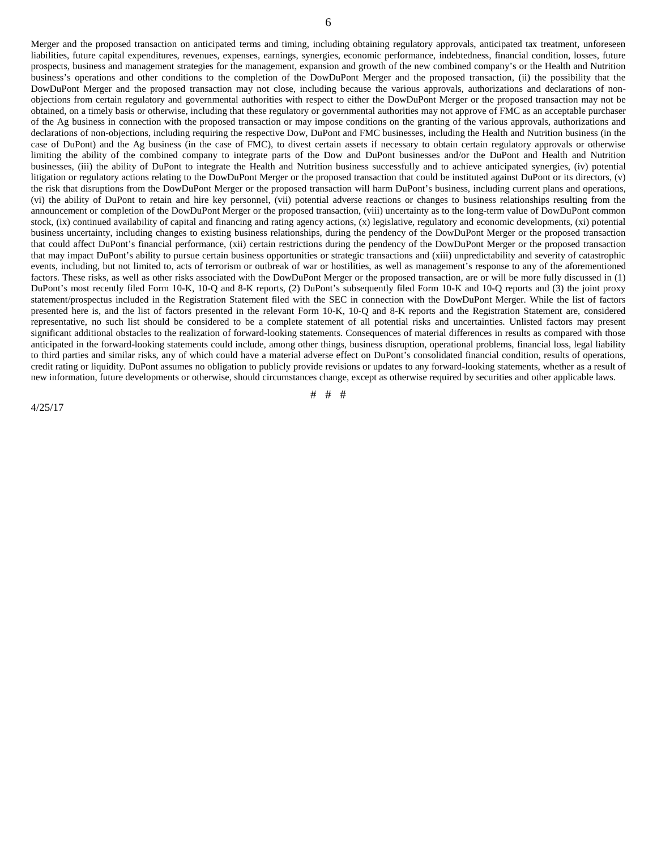Merger and the proposed transaction on anticipated terms and timing, including obtaining regulatory approvals, anticipated tax treatment, unforeseen liabilities, future capital expenditures, revenues, expenses, earnings, synergies, economic performance, indebtedness, financial condition, losses, future prospects, business and management strategies for the management, expansion and growth of the new combined company's or the Health and Nutrition business's operations and other conditions to the completion of the DowDuPont Merger and the proposed transaction, (ii) the possibility that the DowDuPont Merger and the proposed transaction may not close, including because the various approvals, authorizations and declarations of nonobjections from certain regulatory and governmental authorities with respect to either the DowDuPont Merger or the proposed transaction may not be obtained, on a timely basis or otherwise, including that these regulatory or governmental authorities may not approve of FMC as an acceptable purchaser of the Ag business in connection with the proposed transaction or may impose conditions on the granting of the various approvals, authorizations and declarations of non-objections, including requiring the respective Dow, DuPont and FMC businesses, including the Health and Nutrition business (in the case of DuPont) and the Ag business (in the case of FMC), to divest certain assets if necessary to obtain certain regulatory approvals or otherwise limiting the ability of the combined company to integrate parts of the Dow and DuPont businesses and/or the DuPont and Health and Nutrition businesses, (iii) the ability of DuPont to integrate the Health and Nutrition business successfully and to achieve anticipated synergies, (iv) potential litigation or regulatory actions relating to the DowDuPont Merger or the proposed transaction that could be instituted against DuPont or its directors, (v) the risk that disruptions from the DowDuPont Merger or the proposed transaction will harm DuPont's business, including current plans and operations, (vi) the ability of DuPont to retain and hire key personnel, (vii) potential adverse reactions or changes to business relationships resulting from the announcement or completion of the DowDuPont Merger or the proposed transaction, (viii) uncertainty as to the long-term value of DowDuPont common stock, (ix) continued availability of capital and financing and rating agency actions, (x) legislative, regulatory and economic developments, (xi) potential business uncertainty, including changes to existing business relationships, during the pendency of the DowDuPont Merger or the proposed transaction that could affect DuPont's financial performance, (xii) certain restrictions during the pendency of the DowDuPont Merger or the proposed transaction that may impact DuPont's ability to pursue certain business opportunities or strategic transactions and (xiii) unpredictability and severity of catastrophic events, including, but not limited to, acts of terrorism or outbreak of war or hostilities, as well as management's response to any of the aforementioned factors. These risks, as well as other risks associated with the DowDuPont Merger or the proposed transaction, are or will be more fully discussed in (1) DuPont's most recently filed Form 10-K, 10-Q and 8-K reports, (2) DuPont's subsequently filed Form 10-K and 10-Q reports and (3) the joint proxy statement/prospectus included in the Registration Statement filed with the SEC in connection with the DowDuPont Merger. While the list of factors presented here is, and the list of factors presented in the relevant Form 10-K, 10-Q and 8-K reports and the Registration Statement are, considered representative, no such list should be considered to be a complete statement of all potential risks and uncertainties. Unlisted factors may present significant additional obstacles to the realization of forward-looking statements. Consequences of material differences in results as compared with those anticipated in the forward-looking statements could include, among other things, business disruption, operational problems, financial loss, legal liability to third parties and similar risks, any of which could have a material adverse effect on DuPont's consolidated financial condition, results of operations, credit rating or liquidity. DuPont assumes no obligation to publicly provide revisions or updates to any forward-looking statements, whether as a result of new information, future developments or otherwise, should circumstances change, except as otherwise required by securities and other applicable laws.

# # #

4/25/17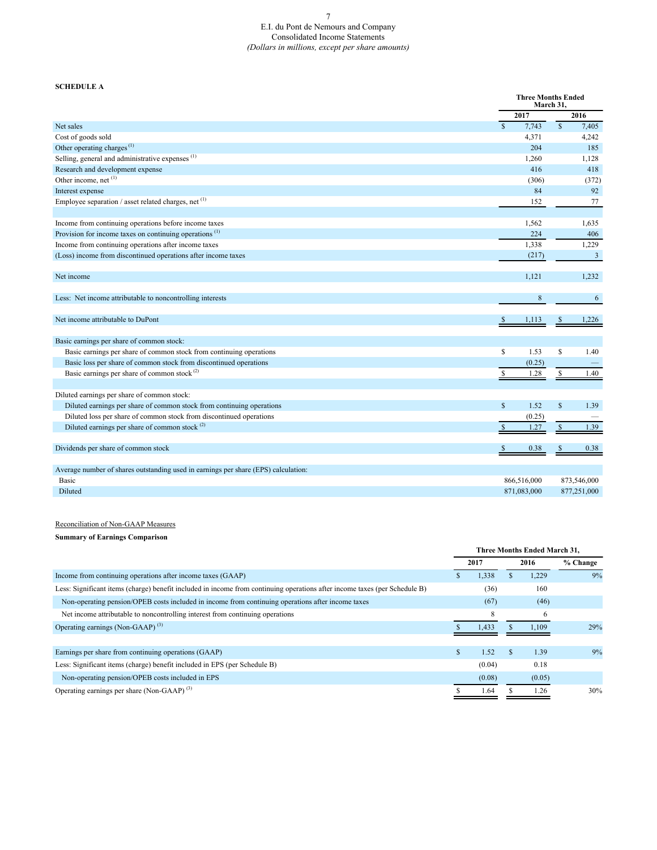### E.I. du Pont de Nemours and Company Consolidated Income Statements *(Dollars in millions, except per share amounts)*

### **SCHEDULE A**

|                                                                                    |               | <b>Three Months Ended</b><br>March 31. |               |             |
|------------------------------------------------------------------------------------|---------------|----------------------------------------|---------------|-------------|
|                                                                                    |               | 2017                                   |               | 2016        |
| Net sales                                                                          | $\mathbf S$   | 7,743                                  | $\mathsf{\$}$ | 7,405       |
| Cost of goods sold                                                                 |               | 4,371                                  |               | 4,242       |
| Other operating charges <sup><math>(1)</math></sup>                                |               | 204                                    |               | 185         |
| Selling, general and administrative expenses <sup>(1)</sup>                        |               | 1,260                                  |               | 1,128       |
| Research and development expense                                                   |               | 416                                    |               | 418         |
| Other income, net (1)                                                              |               | (306)                                  |               | (372)       |
| Interest expense                                                                   |               | 84                                     |               | 92          |
| Employee separation / asset related charges, net $(1)$                             |               | 152                                    |               | 77          |
| Income from continuing operations before income taxes                              |               | 1,562                                  |               | 1,635       |
| Provision for income taxes on continuing operations <sup><math>(1)</math></sup>    |               | 224                                    |               | 406         |
| Income from continuing operations after income taxes                               |               | 1,338                                  |               | 1,229       |
| (Loss) income from discontinued operations after income taxes                      |               | (217)                                  |               | 3           |
| Net income                                                                         |               | 1,121                                  |               | 1,232       |
| Less: Net income attributable to noncontrolling interests                          |               | $\,$ 8 $\,$                            |               | 6           |
| Net income attributable to DuPont                                                  |               | 1,113                                  |               | 1,226       |
| Basic earnings per share of common stock:                                          |               |                                        |               |             |
| Basic earnings per share of common stock from continuing operations                | <sup>\$</sup> | 1.53                                   | $\mathbb{S}$  | 1.40        |
| Basic loss per share of common stock from discontinued operations                  |               | (0.25)                                 |               |             |
| Basic earnings per share of common stock $(2)$                                     |               | 1.28                                   | \$            | 1.40        |
| Diluted earnings per share of common stock:                                        |               |                                        |               |             |
| Diluted earnings per share of common stock from continuing operations              | $\mathbf S$   | 1.52                                   | $\mathcal{S}$ | 1.39        |
| Diluted loss per share of common stock from discontinued operations                |               | (0.25)                                 |               |             |
| Diluted earnings per share of common stock <sup>(2)</sup>                          |               | 1.27                                   | <sup>\$</sup> | 1.39        |
| Dividends per share of common stock                                                |               | 0.38                                   |               | 0.38        |
| Average number of shares outstanding used in earnings per share (EPS) calculation: |               |                                        |               |             |
| Basic                                                                              |               | 866,516,000                            |               | 873,546,000 |
| Diluted                                                                            |               | 871.083.000                            |               | 877,251,000 |

### Reconciliation of Non-GAAP Measures

### **Summary of Earnings Comparison**

|                                                                                                                            |     |        |    | Three Months Ended March 31, |          |
|----------------------------------------------------------------------------------------------------------------------------|-----|--------|----|------------------------------|----------|
|                                                                                                                            |     | 2017   |    | 2016                         | % Change |
| Income from continuing operations after income taxes (GAAP)                                                                |     | 1,338  |    | 1,229                        | 9%       |
| Less: Significant items (charge) benefit included in income from continuing operations after income taxes (per Schedule B) |     | (36)   |    | 160                          |          |
| Non-operating pension/OPEB costs included in income from continuing operations after income taxes                          |     | (67)   |    | (46)                         |          |
| Net income attributable to noncontrolling interest from continuing operations                                              |     | 8      |    | 6                            |          |
| Operating earnings (Non-GAAP) <sup>(3)</sup>                                                                               |     | 1.433  |    | 1.109                        | 29%      |
|                                                                                                                            |     |        |    |                              |          |
| Earnings per share from continuing operations (GAAP)                                                                       | \$. | 1.52   | S. | 1.39                         | 9%       |
| Less: Significant items (charge) benefit included in EPS (per Schedule B)                                                  |     | (0.04) |    | 0.18                         |          |
| Non-operating pension/OPEB costs included in EPS                                                                           |     | (0.08) |    | (0.05)                       |          |
| Operating earnings per share (Non-GAAP) <sup>(3)</sup>                                                                     |     | 1.64   |    | 1.26                         | 30%      |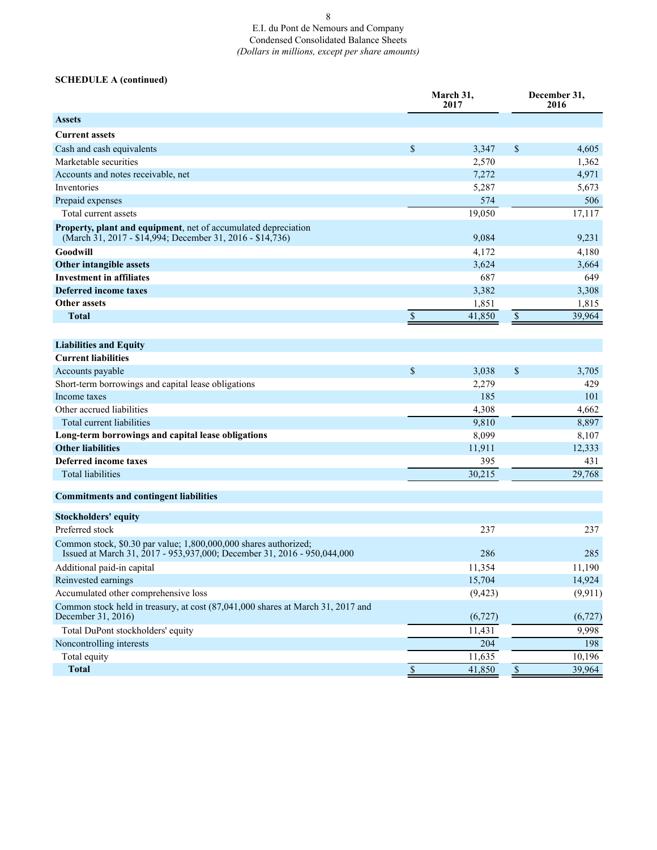## E.I. du Pont de Nemours and Company Condensed Consolidated Balance Sheets *(Dollars in millions, except per share amounts)*

## **SCHEDULE A (continued)**

|                                                                                                                                                 |                           | March 31,<br>2017 | December 31,<br>2016     |          |  |
|-------------------------------------------------------------------------------------------------------------------------------------------------|---------------------------|-------------------|--------------------------|----------|--|
| <b>Assets</b>                                                                                                                                   |                           |                   |                          |          |  |
| <b>Current assets</b>                                                                                                                           |                           |                   |                          |          |  |
| Cash and cash equivalents                                                                                                                       | \$                        | 3,347             | $\mathcal{S}$            | 4,605    |  |
| Marketable securities                                                                                                                           |                           | 2,570             |                          | 1,362    |  |
| Accounts and notes receivable, net                                                                                                              |                           | 7,272             |                          | 4,971    |  |
| Inventories                                                                                                                                     |                           | 5,287             |                          | 5,673    |  |
| Prepaid expenses                                                                                                                                |                           | 574               |                          | 506      |  |
| Total current assets                                                                                                                            |                           | 19,050            |                          | 17,117   |  |
| Property, plant and equipment, net of accumulated depreciation<br>(March 31, 2017 - \$14,994; December 31, 2016 - \$14,736)                     |                           | 9,084             |                          | 9,231    |  |
| Goodwill                                                                                                                                        |                           | 4,172             |                          | 4,180    |  |
| Other intangible assets                                                                                                                         |                           | 3,624             |                          | 3,664    |  |
| <b>Investment in affiliates</b>                                                                                                                 |                           | 687               |                          | 649      |  |
| <b>Deferred income taxes</b>                                                                                                                    |                           | 3,382             |                          | 3,308    |  |
| <b>Other assets</b>                                                                                                                             |                           | 1,851             |                          | 1,815    |  |
| <b>Total</b>                                                                                                                                    | $\boldsymbol{\mathsf{S}}$ | 41,850            | $\$$                     | 39,964   |  |
|                                                                                                                                                 |                           |                   |                          |          |  |
| <b>Liabilities and Equity</b>                                                                                                                   |                           |                   |                          |          |  |
| <b>Current liabilities</b>                                                                                                                      |                           |                   |                          |          |  |
| Accounts payable                                                                                                                                | $\mathbb{S}$              | 3,038             | \$                       | 3,705    |  |
| Short-term borrowings and capital lease obligations                                                                                             |                           | 2,279             |                          | 429      |  |
| Income taxes                                                                                                                                    |                           | 185               |                          | 101      |  |
| Other accrued liabilities                                                                                                                       |                           | 4,308             |                          | 4,662    |  |
| Total current liabilities                                                                                                                       |                           | 9,810             |                          | 8,897    |  |
| Long-term borrowings and capital lease obligations                                                                                              |                           | 8,099             |                          | 8,107    |  |
| <b>Other liabilities</b>                                                                                                                        |                           | 11,911            |                          | 12,333   |  |
| Deferred income taxes                                                                                                                           |                           | 395               |                          | 431      |  |
| <b>Total liabilities</b>                                                                                                                        |                           | 30,215            |                          | 29,768   |  |
| <b>Commitments and contingent liabilities</b>                                                                                                   |                           |                   |                          |          |  |
| <b>Stockholders' equity</b>                                                                                                                     |                           |                   |                          |          |  |
| Preferred stock                                                                                                                                 |                           | 237               |                          | 237      |  |
| Common stock, \$0.30 par value; 1,800,000,000 shares authorized;<br>Issued at March 31, 2017 - 953, 937, 000; December 31, 2016 - 950, 044, 000 |                           | 286               |                          | 285      |  |
| Additional paid-in capital                                                                                                                      |                           | 11,354            |                          | 11,190   |  |
| Reinvested earnings                                                                                                                             |                           | 15,704            |                          | 14,924   |  |
| Accumulated other comprehensive loss                                                                                                            |                           | (9, 423)          |                          | (9, 911) |  |
| Common stock held in treasury, at cost (87,041,000 shares at March 31, 2017 and<br>December 31, 2016)                                           |                           | (6, 727)          |                          | (6, 727) |  |
| Total DuPont stockholders' equity                                                                                                               |                           | 11,431            |                          | 9,998    |  |
| Noncontrolling interests                                                                                                                        |                           | 204               |                          | 198      |  |
| Total equity                                                                                                                                    |                           | 11,635            |                          | 10,196   |  |
| <b>Total</b>                                                                                                                                    | $\overline{\mathcal{S}}$  | 41,850            | $\overline{\mathcal{S}}$ | 39,964   |  |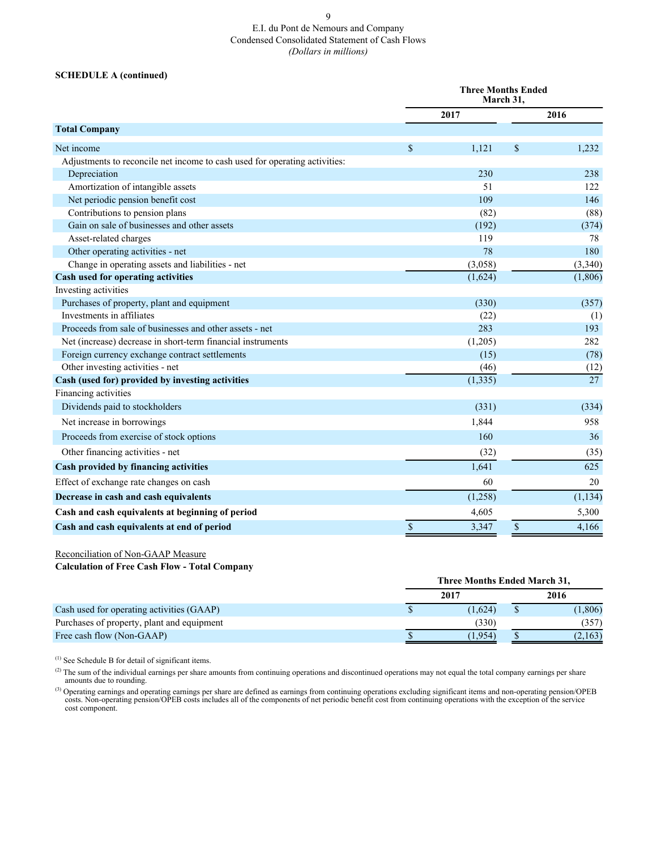### 9 E.I. du Pont de Nemours and Company Condensed Consolidated Statement of Cash Flows *(Dollars in millions)*

### **SCHEDULE A (continued)**

|                                                                            |               | <b>Three Months Ended</b><br>March 31. |               |          |
|----------------------------------------------------------------------------|---------------|----------------------------------------|---------------|----------|
|                                                                            |               | 2017                                   |               | 2016     |
| <b>Total Company</b>                                                       |               |                                        |               |          |
| Net income                                                                 | $\mathcal{S}$ | 1,121                                  | $\mathcal{S}$ | 1,232    |
| Adjustments to reconcile net income to cash used for operating activities: |               |                                        |               |          |
| Depreciation                                                               |               | 230                                    |               | 238      |
| Amortization of intangible assets                                          |               | 51                                     |               | 122      |
| Net periodic pension benefit cost                                          |               | 109                                    |               | 146      |
| Contributions to pension plans                                             |               | (82)                                   |               | (88)     |
| Gain on sale of businesses and other assets                                |               | (192)                                  |               | (374)    |
| Asset-related charges                                                      |               | 119                                    |               | 78       |
| Other operating activities - net                                           |               | 78                                     |               | 180      |
| Change in operating assets and liabilities - net                           |               | (3,058)                                |               | (3,340)  |
| Cash used for operating activities                                         |               | (1,624)                                |               | (1,806)  |
| Investing activities                                                       |               |                                        |               |          |
| Purchases of property, plant and equipment                                 |               | (330)                                  |               | (357)    |
| Investments in affiliates                                                  |               | (22)                                   |               | (1)      |
| Proceeds from sale of businesses and other assets - net                    |               | 283                                    |               | 193      |
| Net (increase) decrease in short-term financial instruments                |               | (1,205)                                |               | 282      |
| Foreign currency exchange contract settlements                             |               | (15)                                   |               | (78)     |
| Other investing activities - net                                           |               | (46)                                   |               | (12)     |
| Cash (used for) provided by investing activities                           |               | (1, 335)                               |               | 27       |
| Financing activities                                                       |               |                                        |               |          |
| Dividends paid to stockholders                                             |               | (331)                                  |               | (334)    |
| Net increase in borrowings                                                 |               | 1,844                                  |               | 958      |
| Proceeds from exercise of stock options                                    |               | 160                                    |               | 36       |
| Other financing activities - net                                           |               | (32)                                   |               | (35)     |
| Cash provided by financing activities                                      |               | 1,641                                  |               | 625      |
| Effect of exchange rate changes on cash                                    |               | 60                                     |               | 20       |
| Decrease in cash and cash equivalents                                      |               | (1,258)                                |               | (1, 134) |
| Cash and cash equivalents at beginning of period                           |               | 4,605                                  |               | 5,300    |
| Cash and cash equivalents at end of period                                 | $\mathcal{S}$ | 3,347                                  | $\mathsf{\$}$ | 4,166    |

Reconciliation of Non-GAAP Measure

**Calculation of Free Cash Flow - Total Company**

|                                            | Three Months Ended March 31, |         |
|--------------------------------------------|------------------------------|---------|
|                                            | 2017                         | 2016    |
| Cash used for operating activities (GAAP)  | (1,624)                      | (1,806) |
| Purchases of property, plant and equipment | (330)                        | (357)   |
| Free cash flow (Non-GAAP)                  | 1.954)                       | (2,163) |

(1) See Schedule B for detail of significant items.

 $^{(2)}$  The sum of the individual earnings per share amounts from continuing operations and discontinued operations may not equal the total company earnings per share amounts due to rounding.

( $^{(3)}$ ) Operating earnings and operating earnings per share are defined as earnings from continuing operations excluding significant items and non-operating pension/OPEB costs includes all of the components of net period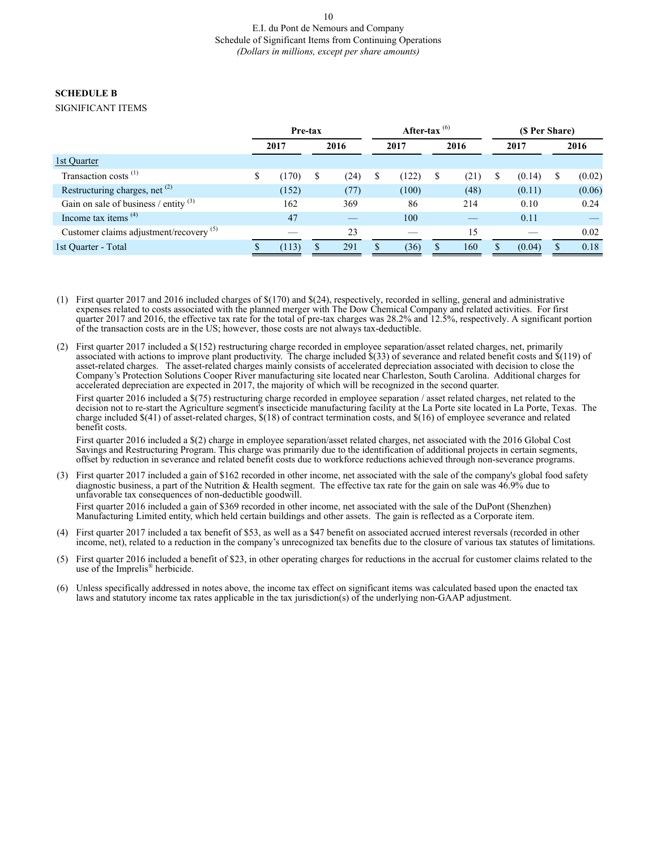### **SCHEDULE B**

### SIGNIFICANT ITEMS

|                                           | Pre-tax     |            | After-tax $^{(6)}$ |       |   | (\$ Per Share) |    |        |   |        |
|-------------------------------------------|-------------|------------|--------------------|-------|---|----------------|----|--------|---|--------|
|                                           | 2017        | 2016       |                    | 2017  |   | 2016           |    | 2017   |   | 2016   |
| 1st Ouarter                               |             |            |                    |       |   |                |    |        |   |        |
| Transaction costs <sup>(1)</sup>          | \$<br>(170) | \$<br>(24) | S                  | (122) | S | (21)           | \$ | (0.14) | S | (0.02) |
| Restructuring charges, net (2)            | (152)       | (77)       |                    | (100) |   | (48)           |    | (0.11) |   | (0.06) |
| Gain on sale of business / entity $(3)$   | 162         | 369        |                    | 86    |   | 214            |    | 0.10   |   | 0.24   |
| Income tax items $(4)$                    | 47          |            |                    | 100   |   |                |    | 0.11   |   |        |
| Customer claims adjustment/recovery $(5)$ |             | 23         |                    |       |   | 15             |    |        |   | 0.02   |
| 1st Ouarter - Total                       | (113)       | 291        |                    | (36)  | S | 160            | S  | (0.04) |   | 0.18   |

- (1) First quarter 2017 and 2016 included charges of \$(170) and \$(24), respectively, recorded in selling, general and administrative expenses related to costs associated with the planned merger with The Dow Chemical Company and related activities. For first quarter 2017 and 2016, the effective tax rate for the total of pre-tax charges was 28.2% and 12.5%, respectively. A significant portion of the transaction costs are in the US; however, those costs are not always tax-deductible.
- (2) First quarter 2017 included a \$(152) restructuring charge recorded in employee separation/asset related charges, net, primarily associated with actions to improve plant productivity. The charge included \$(33) of severance and related benefit costs and \$(119) of asset-related charges. The asset-related charges mainly consists of accelerated depreciation associated with decision to close the Company's Protection Solutions Cooper River manufacturing site located near Charleston, South Carolina. Additional charges for accelerated depreciation are expected in 2017, the majority of which will be recognized in the second quarter.

First quarter 2016 included a  $\S(75)$  restructuring charge recorded in employee separation / asset related charges, net related to the decision not to re-start the Agriculture segment's insecticide manufacturing facility at the La Porte site located in La Porte, Texas. The charge included \$(41) of asset-related charges, \$(18) of contract termination costs, and \$(16) of employee severance and related benefit costs.

First quarter 2016 included a \$(2) charge in employee separation/asset related charges, net associated with the 2016 Global Cost Savings and Restructuring Program. This charge was primarily due to the identification of additional projects in certain segments, offset by reduction in severance and related benefit costs due to workforce reductions achieved through non-severance programs.

- (3) First quarter 2017 included a gain of \$162 recorded in other income, net associated with the sale of the company's global food safety diagnostic business, a part of the Nutrition & Health segment. The effective tax rate for the gain on sale was 46.9% due to unfavorable tax consequences of non-deductible goodwill. First quarter 2016 included a gain of \$369 recorded in other income, net associated with the sale of the DuPont (Shenzhen) Manufacturing Limited entity, which held certain buildings and other assets. The gain is reflected as a Corporate item.
- (4) First quarter 2017 included a tax benefit of \$53, as well as a \$47 benefit on associated accrued interest reversals (recorded in other income, net), related to a reduction in the company's unrecognized tax benefits due to the closure of various tax statutes of limitations.
- (5) First quarter 2016 included a benefit of \$23, in other operating charges for reductions in the accrual for customer claims related to the use of the Imprelis® herbicide.
- (6) Unless specifically addressed in notes above, the income tax effect on significant items was calculated based upon the enacted tax laws and statutory income tax rates applicable in the tax jurisdiction(s) of the underlying non-GAAP adjustment.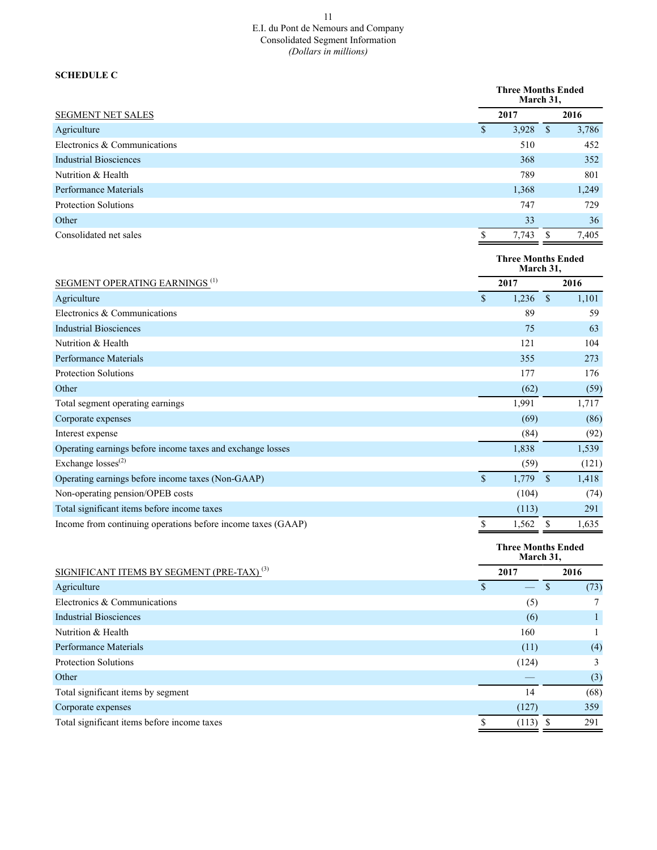### 11 E.I. du Pont de Nemours and Company Consolidated Segment Information *(Dollars in millions)*

## **SCHEDULE C**

|                                                              |                          | <b>Three Months Ended</b><br>March 31, |                    |       |
|--------------------------------------------------------------|--------------------------|----------------------------------------|--------------------|-------|
| SEGMENT NET SALES                                            |                          | 2017                                   |                    | 2016  |
| Agriculture                                                  | $\mathcal{S}$            | 3,928                                  | $\mathcal{S}$      | 3,786 |
| Electronics & Communications                                 |                          | 510                                    |                    | 452   |
| <b>Industrial Biosciences</b>                                |                          | 368                                    |                    | 352   |
| Nutrition & Health                                           |                          | 789                                    |                    | 801   |
| <b>Performance Materials</b>                                 |                          | 1,368                                  |                    | 1,249 |
| <b>Protection Solutions</b>                                  |                          | 747                                    |                    | 729   |
| Other                                                        |                          | 33                                     |                    | 36    |
| Consolidated net sales                                       | $\$$                     | 7,743                                  | \$                 | 7,405 |
|                                                              |                          | <b>Three Months Ended</b><br>March 31, |                    |       |
| <b>SEGMENT OPERATING EARNINGS</b> <sup>(1)</sup>             |                          | 2017                                   |                    | 2016  |
| Agriculture                                                  | $\mathcal{S}$            | 1,236                                  | $\mathcal{S}$      | 1,101 |
| Electronics & Communications                                 |                          | 89                                     |                    | 59    |
| <b>Industrial Biosciences</b>                                |                          | 75                                     |                    | 63    |
| Nutrition & Health                                           |                          | 121                                    |                    | 104   |
| <b>Performance Materials</b>                                 |                          | 355                                    |                    | 273   |
| <b>Protection Solutions</b>                                  |                          | 177                                    |                    | 176   |
| Other                                                        |                          | (62)                                   |                    | (59)  |
| Total segment operating earnings                             |                          | 1,991                                  |                    | 1,717 |
| Corporate expenses                                           |                          | (69)                                   |                    | (86)  |
| Interest expense                                             |                          | (84)                                   |                    | (92)  |
| Operating earnings before income taxes and exchange losses   |                          | 1,838                                  |                    | 1,539 |
| Exchange losses <sup>(2)</sup>                               |                          | (59)                                   |                    | (121) |
| Operating earnings before income taxes (Non-GAAP)            | $\overline{\mathcal{S}}$ | 1,779                                  | $\mathbf{\hat{s}}$ | 1,418 |
| Non-operating pension/OPEB costs                             |                          | (104)                                  |                    | (74)  |
| Total significant items before income taxes                  |                          | (113)                                  |                    | 291   |
| Income from continuing operations before income taxes (GAAP) | $\$$                     | 1,562                                  | $\mathbb{S}$       | 1,635 |
|                                                              |                          | <b>Three Months Ended</b><br>March 31, |                    |       |
| SIGNIFICANT ITEMS BY SEGMENT (PRE-TAX) <sup>(3)</sup>        |                          | 2017                                   |                    | 2016  |
| Agriculture                                                  | $\mathbf{\hat{S}}$       |                                        | $\mathcal{S}$      | (73)  |
| Electronics & Communications                                 |                          | (5)                                    |                    | 7     |

| Electronics & Communications                | (5)   |      |
|---------------------------------------------|-------|------|
| <b>Industrial Biosciences</b>               | (6)   |      |
| Nutrition & Health                          | 160   |      |
| Performance Materials                       | (11)  | (4)  |
| <b>Protection Solutions</b>                 | (124) | 3    |
| Other                                       |       | (3)  |
| Total significant items by segment          | 14    | (68) |
| Corporate expenses                          | (127) | 359  |
| Total significant items before income taxes | (113) | 291  |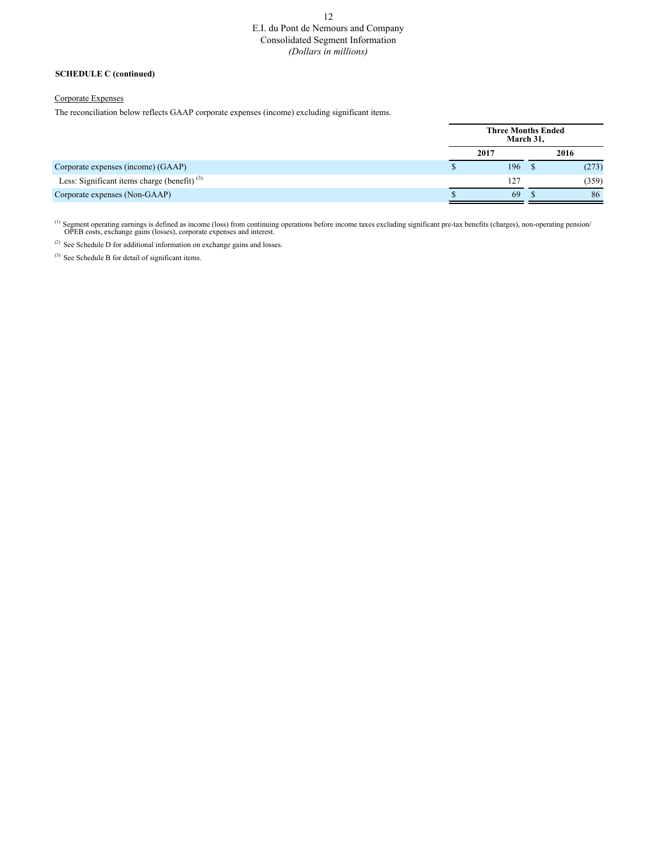# E.I. du Pont de Nemours and Company Consolidated Segment Information *(Dollars in millions)*

#### **SCHEDULE C (continued)**

#### Corporate Expenses

The reconciliation below reflects GAAP corporate expenses (income) excluding significant items.

|                                                   | March 31, | <b>Three Months Ended</b> |
|---------------------------------------------------|-----------|---------------------------|
|                                                   | 2017      | 2016                      |
| Corporate expenses (income) (GAAP)<br>D           | 196       | (273)                     |
| Less: Significant items charge (benefit) $^{(3)}$ | 127       | (359)                     |
| Corporate expenses (Non-GAAP)                     | 69        | 86                        |

<sup>(1)</sup> Segment operating earnings is defined as income (loss) from continuing operations before income taxes excluding significant pre-tax benefits (charges), non-operating pension/<br>OPEB costs, exchange gains (losses), corp

(2) See Schedule D for additional information on exchange gains and losses.

 $(3)$  See Schedule B for detail of significant items.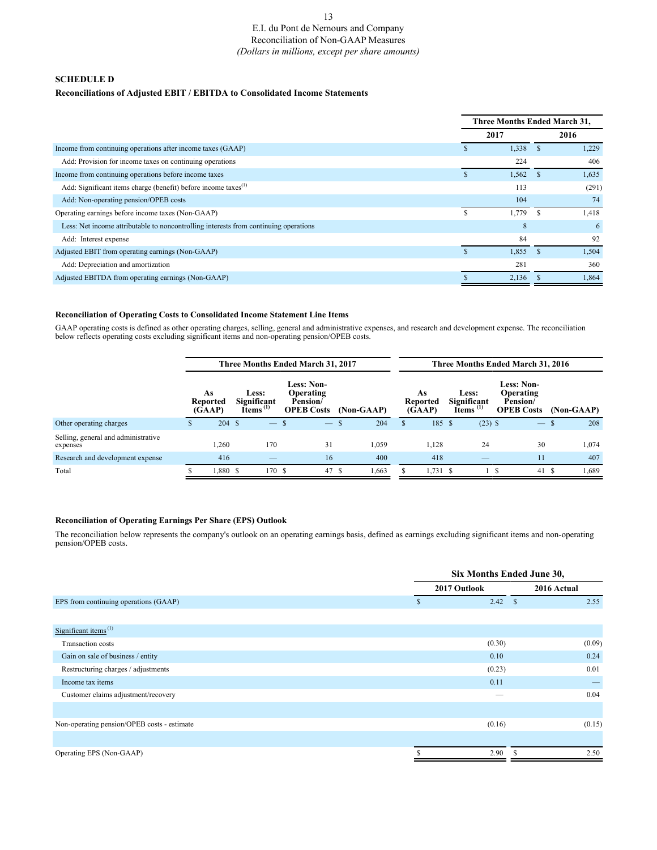## E.I. du Pont de Nemours and Company Reconciliation of Non-GAAP Measures *(Dollars in millions, except per share amounts)*

### **SCHEDULE D**

### **Reconciliations of Adjusted EBIT / EBITDA to Consolidated Income Statements**

|                                                                                      |   | Three Months Ended March 31, |      |       |  |  |
|--------------------------------------------------------------------------------------|---|------------------------------|------|-------|--|--|
|                                                                                      |   | 2017                         | 2016 |       |  |  |
| Income from continuing operations after income taxes (GAAP)                          |   | 1,338                        |      | 1,229 |  |  |
| Add: Provision for income taxes on continuing operations                             |   | 224                          |      | 406   |  |  |
| Income from continuing operations before income taxes                                |   | 1,562                        |      | 1,635 |  |  |
| Add: Significant items charge (benefit) before income taxes <sup>(1)</sup>           |   | 113                          |      | (291) |  |  |
| Add: Non-operating pension/OPEB costs                                                |   | 104                          |      | 74    |  |  |
| Operating earnings before income taxes (Non-GAAP)                                    | ъ | 1,779                        | -8   | 1,418 |  |  |
| Less: Net income attributable to noncontrolling interests from continuing operations |   | 8                            |      | 6     |  |  |
| Add: Interest expense                                                                |   | 84                           |      | 92    |  |  |
| Adjusted EBIT from operating earnings (Non-GAAP)                                     |   | 1,855                        |      | 1,504 |  |  |
| Add: Depreciation and amortization                                                   |   | 281                          |      | 360   |  |  |
| Adjusted EBITDA from operating earnings (Non-GAAP)                                   |   | 2,136                        |      | 1,864 |  |  |

#### **Reconciliation of Operating Costs to Consolidated Income Statement Line Items**

GAAP operating costs is defined as other operating charges, selling, general and administrative expenses, and research and development expense. The reconciliation<br>below reflects operating costs excluding significant items

|                                                 | Three Months Ended March 31, 2017 |                                 |  |                                                                   |                                                                 | Three Months Ended March 31, 2016 |            |    |                                 |  |                                               |                                                                 |              |
|-------------------------------------------------|-----------------------------------|---------------------------------|--|-------------------------------------------------------------------|-----------------------------------------------------------------|-----------------------------------|------------|----|---------------------------------|--|-----------------------------------------------|-----------------------------------------------------------------|--------------|
|                                                 |                                   | As<br><b>Reported</b><br>(GAAP) |  | <b>Less:</b><br>Significant<br>$\tilde{\mathbf{I}}$ tems $^{(1)}$ | <b>Less: Non-</b><br>Operating<br>Pension/<br><b>OPEB Costs</b> |                                   | (Non-GAAP) |    | As<br><b>Reported</b><br>(GAAP) |  | <b>Less:</b><br>Significant<br>Items $^{(1)}$ | <b>Less: Non-</b><br>Operating<br>Pension/<br><b>OPEB Costs</b> | (Non-GAAP)   |
| Other operating charges                         | ъ                                 | $204 \text{ s}$                 |  | $\overline{\phantom{m}}$                                          | $\frac{1}{2}$                                                   |                                   | 204        | Эh | 185 \$                          |  | $(23)$ \$                                     | $-$ \$                                                          | 208          |
| Selling, general and administrative<br>expenses |                                   | 1,260                           |  | 170                                                               | 31                                                              |                                   | 1,059      |    | 1,128                           |  | 24                                            | 30                                                              | 1,074        |
| Research and development expense                |                                   | 416                             |  |                                                                   | 16                                                              |                                   | 400        |    | 418                             |  |                                               | 11                                                              | 407          |
| Total                                           |                                   | 1,880 \$                        |  | 170 \$                                                            |                                                                 | 47 S                              | .663       |    | $1,731$ \$                      |  |                                               |                                                                 | 1,689<br>41S |

### **Reconciliation of Operating Earnings Per Share (EPS) Outlook**

The reconciliation below represents the company's outlook on an operating earnings basis, defined as earnings excluding significant items and non-operating pension/OPEB costs.

|                                               |             | Six Months Ended June 30, |                      |  |  |  |
|-----------------------------------------------|-------------|---------------------------|----------------------|--|--|--|
|                                               |             | 2017 Outlook              | 2016 Actual          |  |  |  |
| EPS from continuing operations (GAAP)         | $\mathbf S$ | 2.42                      | 2.55<br>$\mathbf{s}$ |  |  |  |
|                                               |             |                           |                      |  |  |  |
| Significant items <sup><math>(1)</math></sup> |             |                           |                      |  |  |  |
| Transaction costs                             |             | (0.30)                    | (0.09)               |  |  |  |
| Gain on sale of business / entity             |             | 0.10                      | 0.24                 |  |  |  |
| Restructuring charges / adjustments           |             | (0.23)                    | 0.01                 |  |  |  |
| Income tax items                              |             | 0.11                      |                      |  |  |  |
| Customer claims adjustment/recovery           |             |                           | 0.04                 |  |  |  |
|                                               |             |                           |                      |  |  |  |
| Non-operating pension/OPEB costs - estimate   |             | (0.16)                    | (0.15)               |  |  |  |
|                                               |             |                           |                      |  |  |  |
| Operating EPS (Non-GAAP)                      | \$.         | 2.90                      | 2.50<br>-S           |  |  |  |

#### 13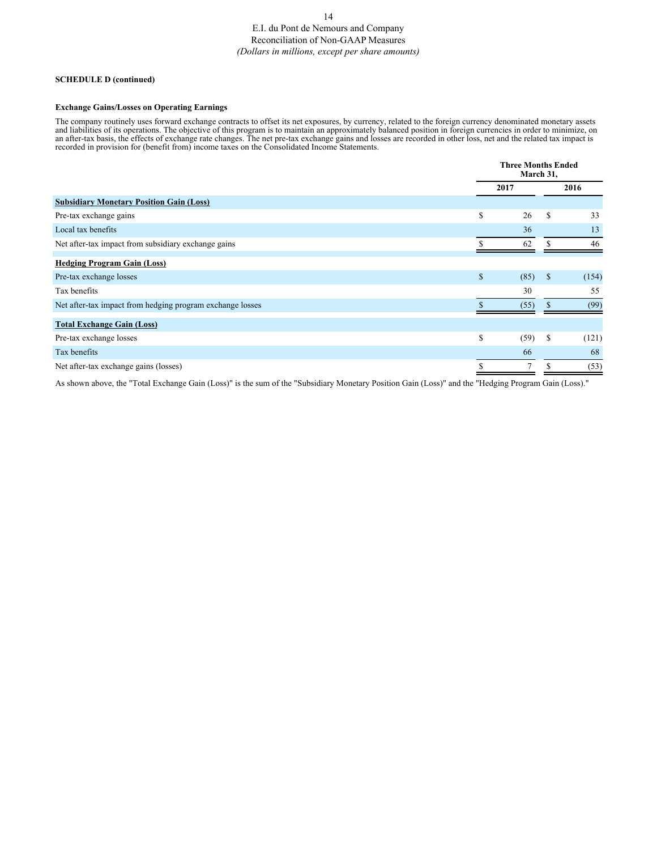### 14 E.I. du Pont de Nemours and Company Reconciliation of Non-GAAP Measures *(Dollars in millions, except per share amounts)*

#### **SCHEDULE D (continued)**

#### **Exchange Gains/Losses on Operating Earnings**

The company routinely uses forward exchange contracts to offset its net exposures, by currency, related to the foreign currency denominated monetary assets and liabilities of its operations. The objective of this program is to maintain an approximately balanced position in foreign currencies in order to minimize, on an after-tax basis, the effects of exchange rate changes. The net pre-tax exchange gains and losses are recorded in other loss, net and the related tax impact is recorded in provision for (benefit from) income taxes on the Consolidated Income Statements.

| <b>Three Months Ended</b><br>March 31, |                |               |       |
|----------------------------------------|----------------|---------------|-------|
| 2017                                   |                | 2016          |       |
|                                        |                |               |       |
| \$                                     | 26             | <sup>\$</sup> | 33    |
|                                        | 36             |               | 13    |
|                                        | 62             |               | 46    |
|                                        |                |               |       |
| \$                                     | (85)           | <sup>\$</sup> | (154) |
|                                        | 30             |               | 55    |
|                                        | (55)           |               | (99)  |
|                                        |                |               |       |
| \$                                     | (59)           | S             | (121) |
|                                        | 66             |               | 68    |
|                                        | $\overline{7}$ |               | (53)  |
|                                        |                |               |       |

As shown above, the "Total Exchange Gain (Loss)" is the sum of the "Subsidiary Monetary Position Gain (Loss)" and the "Hedging Program Gain (Loss)."